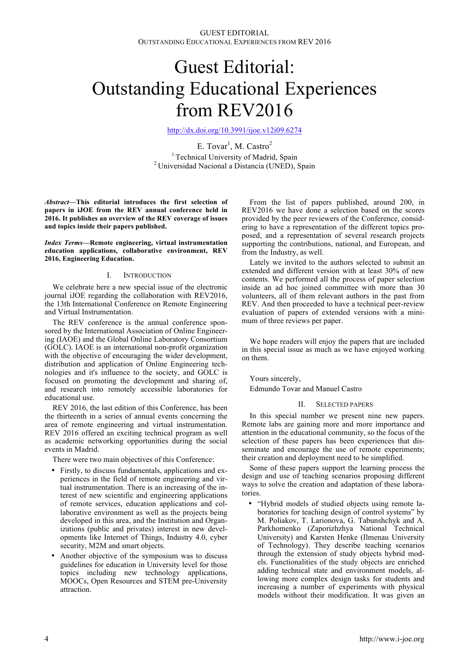# Guest Editorial: Outstanding Educational Experiences from REV2016

http://dx.doi.org/10.3991/ijoe.v12i09.6274

E. Tovar<sup>1</sup>, M. Castro<sup>2</sup> <sup>1</sup> Technical University of Madrid, Spain <sup>2</sup> Universidad Nacional a Distancia (UNED), Spain

*Abstract—***This editorial introduces the first selection of papers in iJOE from the REV annual conference held in 2016. It publishes an overview of the REV coverage of issues and topics inside their papers published.**

*Index Terms—***Remote engineering, virtual instrumentation education applications, collaborative environment, REV 2016, Engineering Education.** 

## I. INTRODUCTION

We celebrate here a new special issue of the electronic journal iJOE regarding the collaboration with REV2016, the 13th International Conference on Remote Engineering and Virtual Instrumentation.

The REV conference is the annual conference sponsored by the International Association of Online Engineering (IAOE) and the Global Online Laboratory Consortium (GOLC). IAOE is an international non-profit organization with the objective of encouraging the wider development, distribution and application of Online Engineering technologies and it's influence to the society, and GOLC is focused on promoting the development and sharing of, and research into remotely accessible laboratories for educational use.

REV 2016, the last edition of this Conference, has been the thirteenth in a series of annual events concerning the area of remote engineering and virtual instrumentation. REV 2016 offered an exciting technical program as well as academic networking opportunities during the social events in Madrid.

There were two main objectives of this Conference:

- Firstly, to discuss fundamentals, applications and experiences in the field of remote engineering and virtual instrumentation. There is an increasing of the interest of new scientific and engineering applications of remote services, education applications and collaborative environment as well as the projects being developed in this area, and the Institution and Organizations (public and privates) interest in new developments like Internet of Things, Industry 4.0, cyber security, M2M and smart objects.
- Another objective of the symposium was to discuss guidelines for education in University level for those topics including new technology applications, MOOCs, Open Resources and STEM pre-University attraction.

From the list of papers published, around 200, in REV2016 we have done a selection based on the scores provided by the peer reviewers of the Conference, considering to have a representation of the different topics proposed, and a representation of several research projects supporting the contributions, national, and European, and from the Industry, as well.

Lately we invited to the authors selected to submit an extended and different version with at least 30% of new contents. We performed all the process of paper selection inside an ad hoc joined committee with more than 30 volunteers, all of them relevant authors in the past from REV. And then proceeded to have a technical peer-review evaluation of papers of extended versions with a minimum of three reviews per paper.

We hope readers will enjoy the papers that are included in this special issue as much as we have enjoyed working on them.

Yours sincerely,

Edmundo Tovar and Manuel Castro

## II. SELECTED PAPERS

In this special number we present nine new papers. Remote labs are gaining more and more importance and attention in the educational community, so the focus of the selection of these papers has been experiences that disseminate and encourage the use of remote experiments; their creation and deployment need to be simplified.

Some of these papers support the learning process the design and use of teaching scenarios proposing different ways to solve the creation and adaptation of these laboratories.

• "Hybrid models of studied objects using remote laboratories for teaching design of control systems" by M. Poliakov, T. Larionova, G. Tabunshchyk and A. Parkhomenko (Zaporizhzhya National Technical University) and Karsten Henke (Ilmenau University of Technology). They describe teaching scenarios through the extension of study objects hybrid models. Functionalities of the study objects are enriched adding technical state and environment models, allowing more complex design tasks for students and increasing a number of experiments with physical models without their modification. It was given an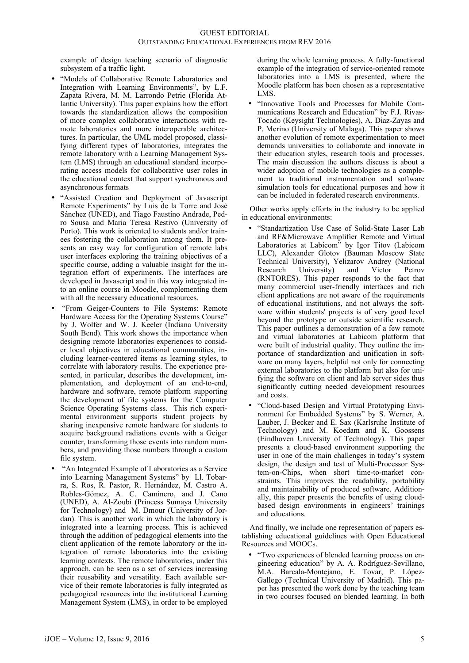# GUEST EDITORIAL OUTSTANDING EDUCATIONAL EXPERIENCES FROM REV 2016

example of design teaching scenario of diagnostic subsystem of a traffic light.

- "Models of Collaborative Remote Laboratories and Integration with Learning Environments", by L.F. Zapata Rivera, M. M. Larrondo Petrie (Florida Atlantic University). This paper explains how the effort towards the standardization allows the composition of more complex collaborative interactions with remote laboratories and more interoperable architectures. In particular, the UML model proposed, classifying different types of laboratories, integrates the remote laboratory with a Learning Management System (LMS) through an educational standard incorporating access models for collaborative user roles in the educational context that support synchronous and asynchronous formats
- "Assisted Creation and Deployment of Javascript Remote Experiments" by Luis de la Torre and José Sánchez (UNED), and Tiago Faustino Andrade, Pedro Sousa and Maria Teresa Restivo (University of Porto). This work is oriented to students and/or trainees fostering the collaboration among them. It presents an easy way for configuration of remote labs user interfaces exploring the training objectives of a specific course, adding a valuable insight for the integration effort of experiments. The interfaces are developed in Javascript and in this way integrated into an online course in Moodle, complementing them with all the necessary educational resources.
- "From Geiger-Counters to File Systems: Remote Hardware Access for the Operating Systems Course" by J. Wolfer and W. J. Keeler (Indiana University South Bend). This work shows the importance when designing remote laboratories experiences to consider local objectives in educational communities, including learner-centered items as learning styles, to correlate with laboratory results. The experience presented, in particular, describes the development, implementation, and deployment of an end-to-end, hardware and software, remote platform supporting the development of file systems for the Computer Science Operating Systems class. This rich experimental environment supports student projects by sharing inexpensive remote hardware for students to acquire background radiations events with a Geiger counter, transforming those events into random numbers, and providing those numbers through a custom file system.
- "An Integrated Example of Laboratories as a Service into Learning Management Systems" by Ll. Tobarra, S. Ros, R. Pastor, R. Hernández, M. Castro A. Robles-Gómez, A. C. Caminero, and J. Cano (UNED), A. Al-Zoubi (Princess Sumaya University for Technology) and M. Dmour (University of Jordan). This is another work in which the laboratory is integrated into a learning process. This is achieved through the addition of pedagogical elements into the client application of the remote laboratory or the integration of remote laboratories into the existing learning contexts. The remote laboratories, under this approach, can be seen as a set of services increasing their reusability and versatility. Each available service of their remote laboratories is fully integrated as pedagogical resources into the institutional Learning Management System (LMS), in order to be employed

during the whole learning process. A fully-functional example of the integration of service-oriented remote laboratories into a LMS is presented, where the Moodle platform has been chosen as a representative LMS.

• "Innovative Tools and Processes for Mobile Communications Research and Education" by F.J. Rivas-Tocado (Keysight Technologies), A. Diaz-Zayas and P. Merino (University of Malaga). This paper shows another evolution of remote experimentation to meet demands universities to collaborate and innovate in their education styles, research tools and processes. The main discussion the authors discuss is about a wider adoption of mobile technologies as a complement to traditional instrumentation and software simulation tools for educational purposes and how it can be included in federated research environments.

Other works apply efforts in the industry to be applied in educational environments:

- "Standartization Use Case of Solid-State Laser Lab and RF&Microwave Amplifier Remote and Virtual Laboratories at Labicom" by Igor Titov (Labicom LLC), Alexander Glotov (Bauman Moscow State Technical University), Yelizarov Andrey (National Research University) and Victor Petrov (RNTORES). This paper responds to the fact that many commercial user-friendly interfaces and rich client applications are not aware of the requirements of educational institutions, and not always the software within students' projects is of very good level beyond the prototype or outside scientific research. This paper outlines a demonstration of a few remote and virtual laboratories at Labicom platform that were built of industrial quality. They outline the importance of standardization and unification in software on many layers, helpful not only for connecting external laboratories to the platform but also for unifying the software on client and lab server sides thus significantly cutting needed development resources and costs.
- "Cloud-based Design and Virtual Prototyping Environment for Embedded Systems" by S. Werner, A. Lauber, J. Becker and E. Sax (Karlsruhe Institute of Technology) and M. Koedam and K. Goossens (Eindhoven University of Technology). This paper presents a cloud-based environment supporting the user in one of the main challenges in today's system design, the design and test of Multi-Processor System-on-Chips, when short time-to-market constraints. This improves the readability, portability and maintainability of produced software. Additionally, this paper presents the benefits of using cloudbased design environments in engineers' trainings and educations.

And finally, we include one representation of papers establishing educational guidelines with Open Educational Resources and MOOCs.

• "Two experiences of blended learning process on engineering education" by A. A. Rodríguez-Sevillano, M.A. Barcala-Montejano, E. Tovar, P. López-Gallego (Technical University of Madrid). This paper has presented the work done by the teaching team in two courses focused on blended learning. In both